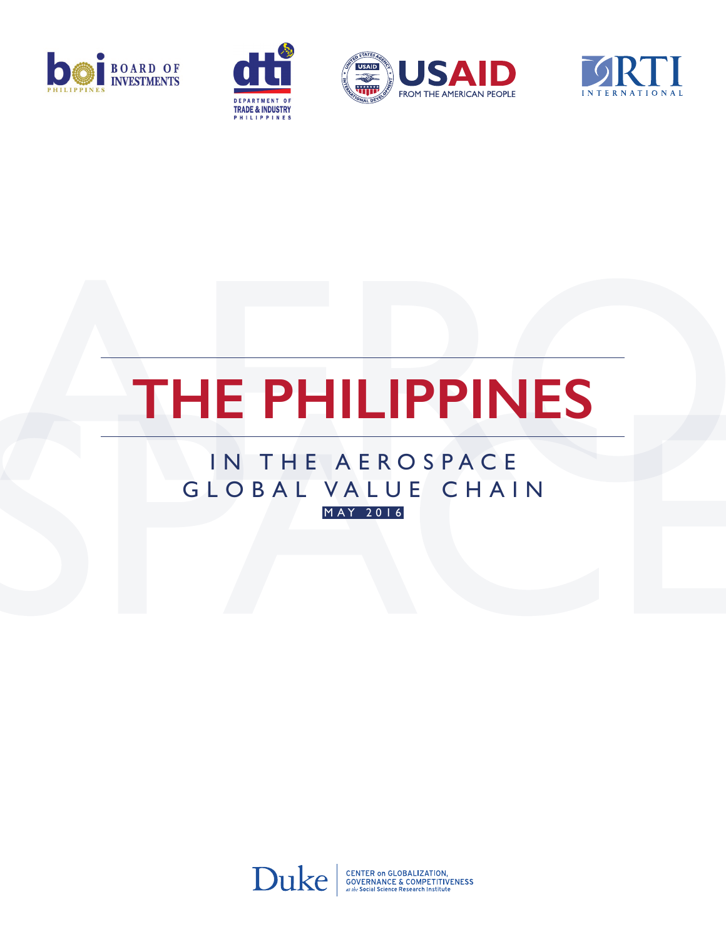







# **The Philippines**

### IN THE AEROSPACE GLOBAL VALUE CHAIN m ay 2016



**CENTER ON GLOBALIZATION,<br>GOVERNANCE & COMPETITIVENESS**<br>at the Social Science Research Institute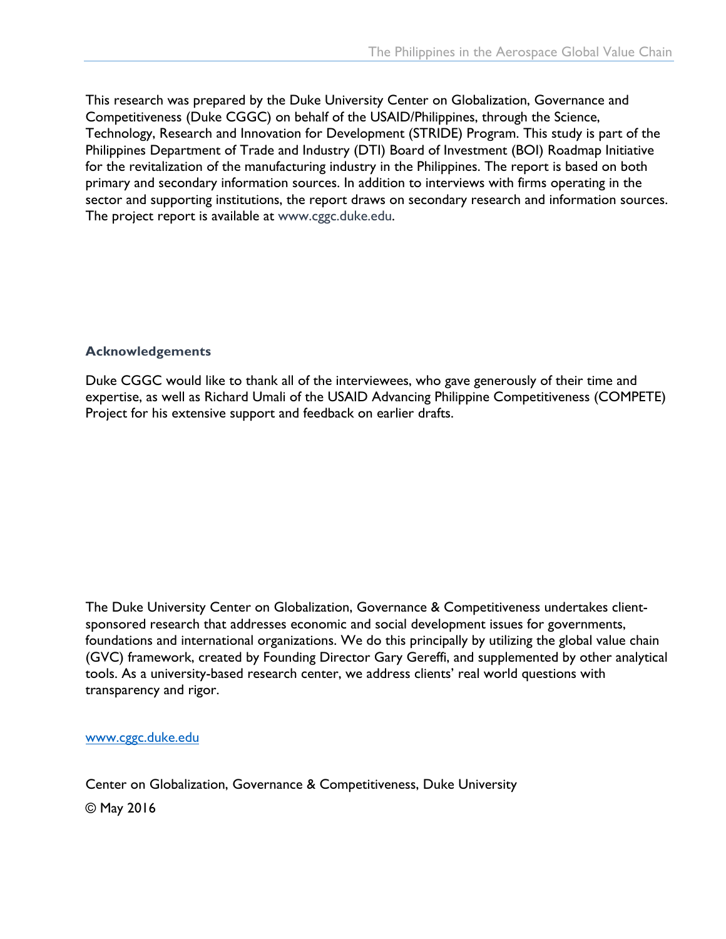This research was prepared by the Duke University Center on Globalization, Governance and Competitiveness (Duke CGGC) on behalf of the USAID/Philippines, through the Science, Technology, Research and Innovation for Development (STRIDE) Program. This study is part of the Philippines Department of Trade and Industry (DTI) Board of Investment (BOI) Roadmap Initiative for the revitalization of the manufacturing industry in the Philippines. The report is based on both primary and secondary information sources. In addition to interviews with firms operating in the sector and supporting institutions, the report draws on secondary research and information sources. The project report is available at www.cggc.duke.edu.

### **Acknowledgements**

Duke CGGC would like to thank all of the interviewees, who gave generously of their time and expertise, as well as Richard Umali of the USAID Advancing Philippine Competitiveness (COMPETE) Project for his extensive support and feedback on earlier drafts.

The Duke University Center on Globalization, Governance & Competitiveness undertakes clientsponsored research that addresses economic and social development issues for governments, foundations and international organizations. We do this principally by utilizing the global value chain (GVC) framework, created by Founding Director Gary Gereffi, and supplemented by other analytical tools. As a university-based research center, we address clients' real world questions with transparency and rigor.

### www.cggc.duke.edu

Center on Globalization, Governance & Competitiveness, Duke University © May 2016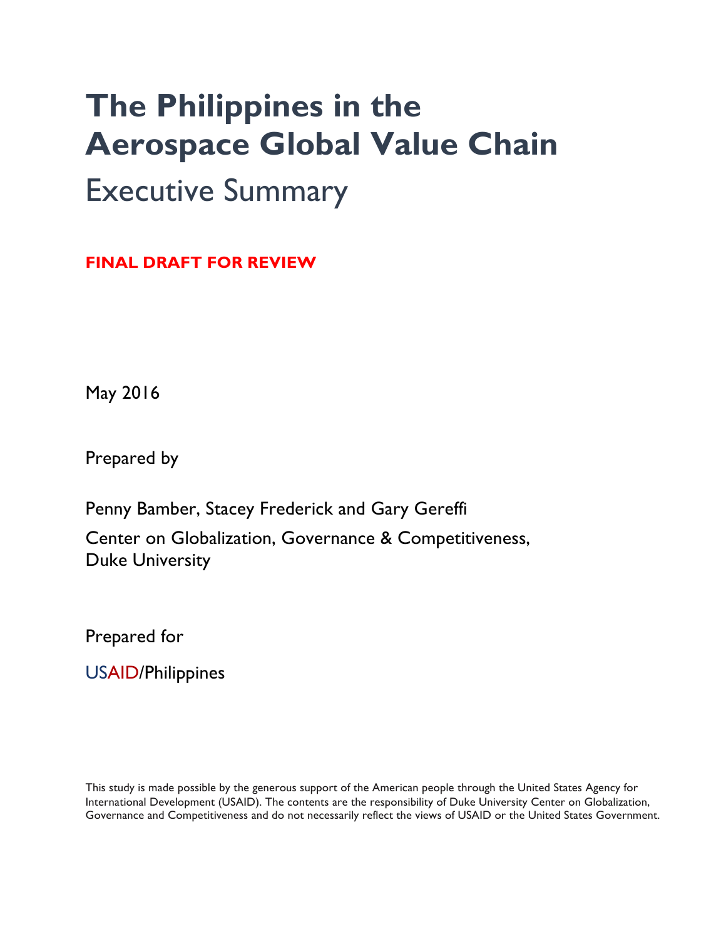## **The Philippines in the Aerospace Global Value Chain** Executive Summary

**FINAL DRAFT FOR REVIEW**

May 2016

Prepared by

Penny Bamber, Stacey Frederick and Gary Gereffi Center on Globalization, Governance & Competitiveness, Duke University

Prepared for

USAID/Philippines

This study is made possible by the generous support of the American people through the United States Agency for International Development (USAID). The contents are the responsibility of Duke University Center on Globalization, Governance and Competitiveness and do not necessarily reflect the views of USAID or the United States Government.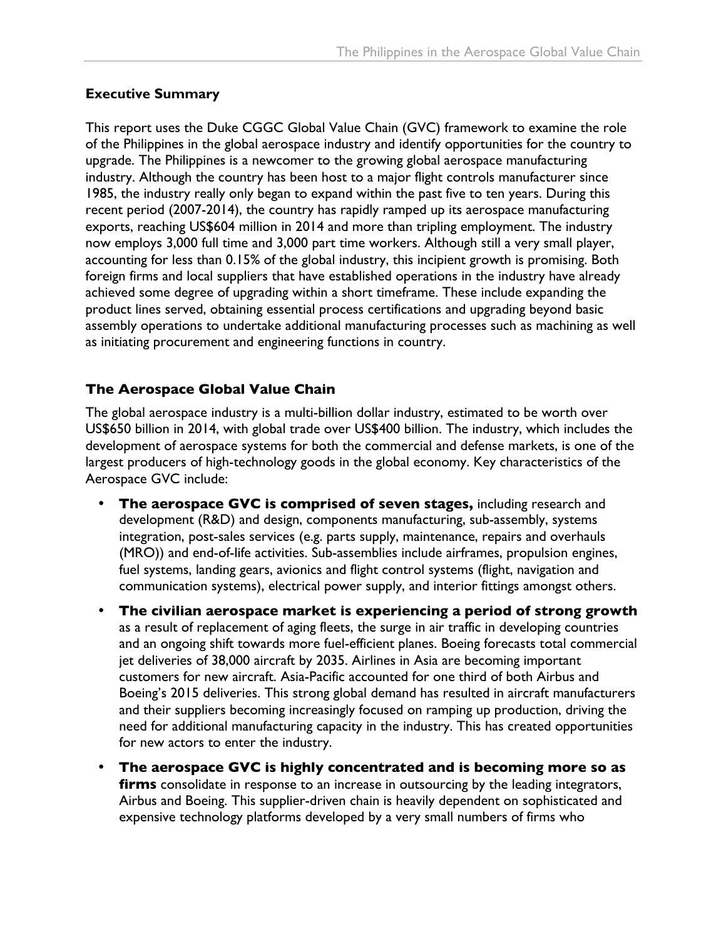### **Executive Summary**

This report uses the Duke CGGC Global Value Chain (GVC) framework to examine the role of the Philippines in the global aerospace industry and identify opportunities for the country to upgrade. The Philippines is a newcomer to the growing global aerospace manufacturing industry. Although the country has been host to a major flight controls manufacturer since 1985, the industry really only began to expand within the past five to ten years. During this recent period (2007-2014), the country has rapidly ramped up its aerospace manufacturing exports, reaching US\$604 million in 2014 and more than tripling employment. The industry now employs 3,000 full time and 3,000 part time workers. Although still a very small player, accounting for less than 0.15% of the global industry, this incipient growth is promising. Both foreign firms and local suppliers that have established operations in the industry have already achieved some degree of upgrading within a short timeframe. These include expanding the product lines served, obtaining essential process certifications and upgrading beyond basic assembly operations to undertake additional manufacturing processes such as machining as well as initiating procurement and engineering functions in country.

### **The Aerospace Global Value Chain**

The global aerospace industry is a multi-billion dollar industry, estimated to be worth over US\$650 billion in 2014, with global trade over US\$400 billion. The industry, which includes the development of aerospace systems for both the commercial and defense markets, is one of the largest producers of high-technology goods in the global economy. Key characteristics of the Aerospace GVC include:

- **The aerospace GVC is comprised of seven stages,** including research and development (R&D) and design, components manufacturing, sub-assembly, systems integration, post-sales services (e.g. parts supply, maintenance, repairs and overhauls (MRO)) and end-of-life activities. Sub-assemblies include airframes, propulsion engines, fuel systems, landing gears, avionics and flight control systems (flight, navigation and communication systems), electrical power supply, and interior fittings amongst others.
- **The civilian aerospace market is experiencing a period of strong growth** as a result of replacement of aging fleets, the surge in air traffic in developing countries and an ongoing shift towards more fuel-efficient planes. Boeing forecasts total commercial jet deliveries of 38,000 aircraft by 2035. Airlines in Asia are becoming important customers for new aircraft. Asia-Pacific accounted for one third of both Airbus and Boeing's 2015 deliveries. This strong global demand has resulted in aircraft manufacturers and their suppliers becoming increasingly focused on ramping up production, driving the need for additional manufacturing capacity in the industry. This has created opportunities for new actors to enter the industry.
- **The aerospace GVC is highly concentrated and is becoming more so as firms** consolidate in response to an increase in outsourcing by the leading integrators, Airbus and Boeing. This supplier-driven chain is heavily dependent on sophisticated and expensive technology platforms developed by a very small numbers of firms who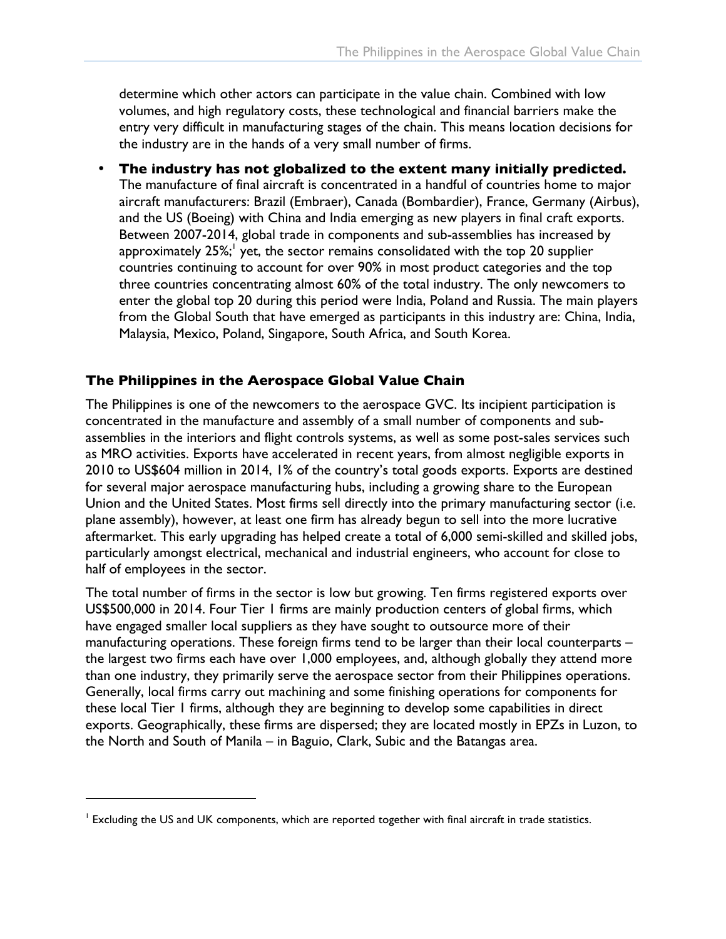determine which other actors can participate in the value chain. Combined with low volumes, and high regulatory costs, these technological and financial barriers make the entry very difficult in manufacturing stages of the chain. This means location decisions for the industry are in the hands of a very small number of firms.

• **The industry has not globalized to the extent many initially predicted.**  The manufacture of final aircraft is concentrated in a handful of countries home to major aircraft manufacturers: Brazil (Embraer), Canada (Bombardier), France, Germany (Airbus), and the US (Boeing) with China and India emerging as new players in final craft exports. Between 2007-2014, global trade in components and sub-assemblies has increased by approximately 25%;<sup>1</sup> yet, the sector remains consolidated with the top 20 supplier countries continuing to account for over 90% in most product categories and the top three countries concentrating almost 60% of the total industry. The only newcomers to enter the global top 20 during this period were India, Poland and Russia. The main players from the Global South that have emerged as participants in this industry are: China, India, Malaysia, Mexico, Poland, Singapore, South Africa, and South Korea.

### **The Philippines in the Aerospace Global Value Chain**

The Philippines is one of the newcomers to the aerospace GVC. Its incipient participation is concentrated in the manufacture and assembly of a small number of components and subassemblies in the interiors and flight controls systems, as well as some post-sales services such as MRO activities. Exports have accelerated in recent years, from almost negligible exports in 2010 to US\$604 million in 2014, 1% of the country's total goods exports. Exports are destined for several major aerospace manufacturing hubs, including a growing share to the European Union and the United States. Most firms sell directly into the primary manufacturing sector (i.e. plane assembly), however, at least one firm has already begun to sell into the more lucrative aftermarket. This early upgrading has helped create a total of 6,000 semi-skilled and skilled jobs, particularly amongst electrical, mechanical and industrial engineers, who account for close to half of employees in the sector.

The total number of firms in the sector is low but growing. Ten firms registered exports over US\$500,000 in 2014. Four Tier 1 firms are mainly production centers of global firms, which have engaged smaller local suppliers as they have sought to outsource more of their manufacturing operations. These foreign firms tend to be larger than their local counterparts – the largest two firms each have over 1,000 employees, and, although globally they attend more than one industry, they primarily serve the aerospace sector from their Philippines operations. Generally, local firms carry out machining and some finishing operations for components for these local Tier 1 firms, although they are beginning to develop some capabilities in direct exports. Geographically, these firms are dispersed; they are located mostly in EPZs in Luzon, to the North and South of Manila – in Baguio, Clark, Subic and the Batangas area.

 $\overline{a}$ 

 $<sup>1</sup>$  Excluding the US and UK components, which are reported together with final aircraft in trade statistics.</sup>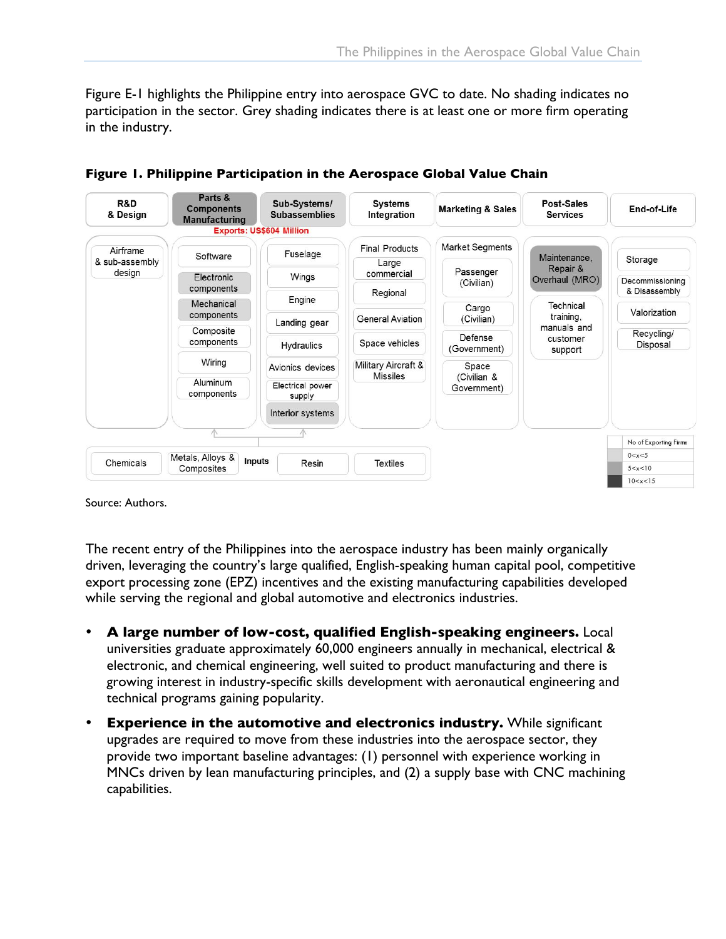Figure E-1 highlights the Philippine entry into aerospace GVC to date. No shading indicates no participation in the sector. Grey shading indicates there is at least one or more firm operating in the industry.





Source: Authors.

The recent entry of the Philippines into the aerospace industry has been mainly organically driven, leveraging the country's large qualified, English-speaking human capital pool, competitive export processing zone (EPZ) incentives and the existing manufacturing capabilities developed while serving the regional and global automotive and electronics industries.

- **A large number of low-cost, qualified English-speaking engineers.** Local universities graduate approximately 60,000 engineers annually in mechanical, electrical & electronic, and chemical engineering, well suited to product manufacturing and there is growing interest in industry-specific skills development with aeronautical engineering and technical programs gaining popularity.
- **Experience in the automotive and electronics industry.** While significant upgrades are required to move from these industries into the aerospace sector, they provide two important baseline advantages: (1) personnel with experience working in MNCs driven by lean manufacturing principles, and (2) a supply base with CNC machining capabilities.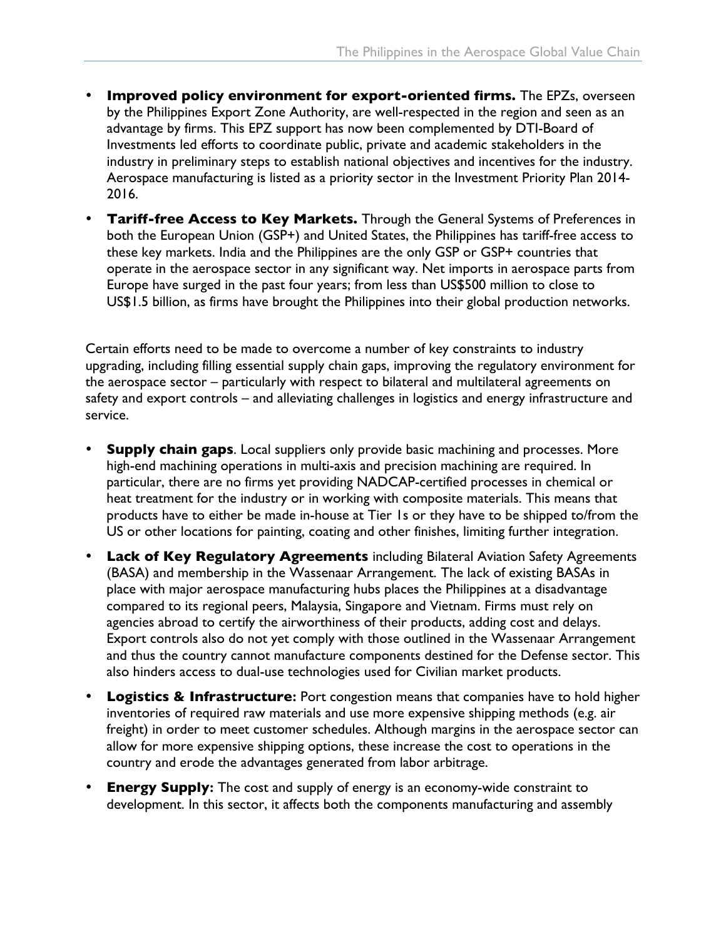- **Improved policy environment for export-oriented firms.** The EPZs, overseen by the Philippines Export Zone Authority, are well-respected in the region and seen as an advantage by firms. This EPZ support has now been complemented by DTI-Board of Investments led efforts to coordinate public, private and academic stakeholders in the industry in preliminary steps to establish national objectives and incentives for the industry. Aerospace manufacturing is listed as a priority sector in the Investment Priority Plan 2014- 2016.
- **Tariff-free Access to Key Markets.** Through the General Systems of Preferences in both the European Union (GSP+) and United States, the Philippines has tariff-free access to these key markets. India and the Philippines are the only GSP or GSP+ countries that operate in the aerospace sector in any significant way. Net imports in aerospace parts from Europe have surged in the past four years; from less than US\$500 million to close to US\$1.5 billion, as firms have brought the Philippines into their global production networks.

Certain efforts need to be made to overcome a number of key constraints to industry upgrading, including filling essential supply chain gaps, improving the regulatory environment for the aerospace sector – particularly with respect to bilateral and multilateral agreements on safety and export controls – and alleviating challenges in logistics and energy infrastructure and service.

- **Supply chain gaps**. Local suppliers only provide basic machining and processes. More high-end machining operations in multi-axis and precision machining are required. In particular, there are no firms yet providing NADCAP-certified processes in chemical or heat treatment for the industry or in working with composite materials. This means that products have to either be made in-house at Tier 1s or they have to be shipped to/from the US or other locations for painting, coating and other finishes, limiting further integration.
- **Lack of Key Regulatory Agreements** including Bilateral Aviation Safety Agreements (BASA) and membership in the Wassenaar Arrangement. The lack of existing BASAs in place with major aerospace manufacturing hubs places the Philippines at a disadvantage compared to its regional peers, Malaysia, Singapore and Vietnam. Firms must rely on agencies abroad to certify the airworthiness of their products, adding cost and delays. Export controls also do not yet comply with those outlined in the Wassenaar Arrangement and thus the country cannot manufacture components destined for the Defense sector. This also hinders access to dual-use technologies used for Civilian market products.
- **Logistics & Infrastructure:** Port congestion means that companies have to hold higher inventories of required raw materials and use more expensive shipping methods (e.g. air freight) in order to meet customer schedules. Although margins in the aerospace sector can allow for more expensive shipping options, these increase the cost to operations in the country and erode the advantages generated from labor arbitrage.
- **Energy Supply:** The cost and supply of energy is an economy-wide constraint to development. In this sector, it affects both the components manufacturing and assembly